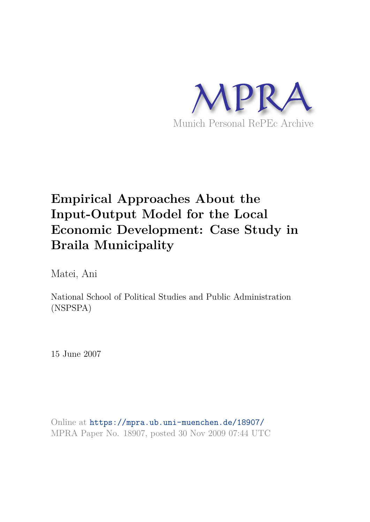

# **Empirical Approaches About the Input-Output Model for the Local Economic Development: Case Study in Braila Municipality**

Matei, Ani

National School of Political Studies and Public Administration (NSPSPA)

15 June 2007

Online at https://mpra.ub.uni-muenchen.de/18907/ MPRA Paper No. 18907, posted 30 Nov 2009 07:44 UTC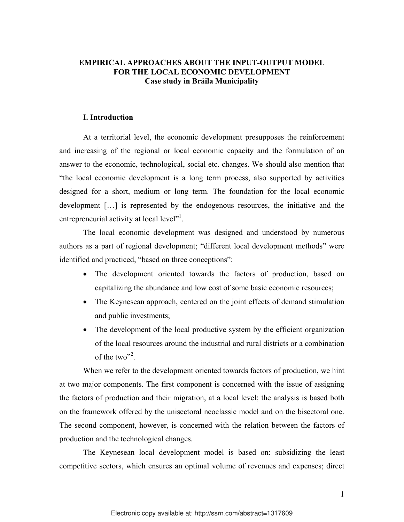# **EMPIRICAL APPROACHES ABOUT THE INPUT-OUTPUT MODEL FOR THE LOCAL ECONOMIC DEVELOPMENT Case study in Brăila Municipality**

## **I. Introduction**

At a territorial level, the economic development presupposes the reinforcement and increasing of the regional or local economic capacity and the formulation of an answer to the economic, technological, social etc. changes. We should also mention that "the local economic development is a long term process, also supported by activities designed for a short, medium or long term. The foundation for the local economic development […] is represented by the endogenous resources, the initiative and the entrepreneurial activity at local level"<sup>1</sup>.

 The local economic development was designed and understood by numerous authors as a part of regional development; "different local development methods" were identified and practiced, "based on three conceptions":

- The development oriented towards the factors of production, based on capitalizing the abundance and low cost of some basic economic resources;
- The Keynesean approach, centered on the joint effects of demand stimulation and public investments;
- The development of the local productive system by the efficient organization of the local resources around the industrial and rural districts or a combination of the two"<sup>2</sup>.

When we refer to the development oriented towards factors of production, we hint at two major components. The first component is concerned with the issue of assigning the factors of production and their migration, at a local level; the analysis is based both on the framework offered by the unisectoral neoclassic model and on the bisectoral one. The second component, however, is concerned with the relation between the factors of production and the technological changes.

The Keynesean local development model is based on: subsidizing the least competitive sectors, which ensures an optimal volume of revenues and expenses; direct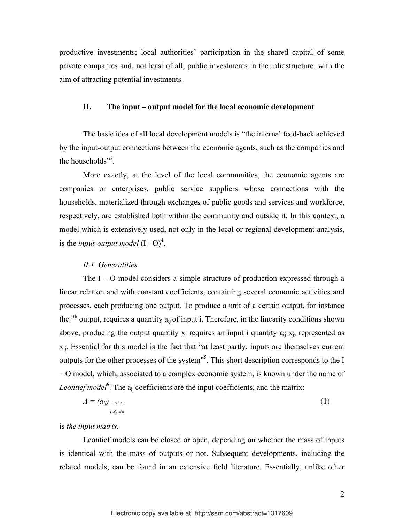productive investments; local authorities' participation in the shared capital of some private companies and, not least of all, public investments in the infrastructure, with the aim of attracting potential investments.

#### **II. The input – output model for the local economic development**

The basic idea of all local development models is "the internal feed-back achieved by the input-output connections between the economic agents, such as the companies and the households"<sup>3</sup>.

More exactly, at the level of the local communities, the economic agents are companies or enterprises, public service suppliers whose connections with the households, materialized through exchanges of public goods and services and workforce, respectively, are established both within the community and outside it. In this context, a model which is extensively used, not only in the local or regional development analysis, is the *input-output model*  $(I - O)^4$ .

#### *II.1. Generalities*

The  $I - O$  model considers a simple structure of production expressed through a linear relation and with constant coefficients, containing several economic activities and processes, each producing one output. To produce a unit of a certain output, for instance the  $i<sup>th</sup>$  output, requires a quantity  $a<sub>ii</sub>$  of input i. Therefore, in the linearity conditions shown above, producing the output quantity  $x_i$  requires an input i quantity  $a_{ii} x_i$ , represented as  $x_{ii}$ . Essential for this model is the fact that "at least partly, inputs are themselves current outputs for the other processes of the system<sup>35</sup>. This short description corresponds to the I – O model, which, associated to a complex economic system, is known under the name of Leontief model<sup>6</sup>. The a<sub>ij</sub> coefficients are the input coefficients, and the matrix:

$$
A = (a_{ij})_{1 \le i \le n} \tag{1}
$$

is *the input matrix.*

Leontief models can be closed or open, depending on whether the mass of inputs is identical with the mass of outputs or not. Subsequent developments, including the related models, can be found in an extensive field literature. Essentially, unlike other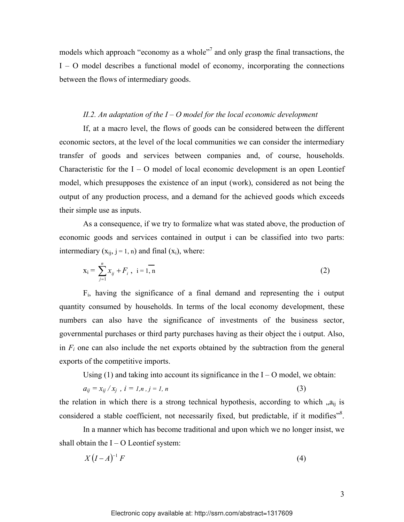models which approach "economy as a whole"<sup>7</sup> and only grasp the final transactions, the I – O model describes a functional model of economy, incorporating the connections between the flows of intermediary goods.

#### *II.2. An adaptation of the I – O model for the local economic development*

If, at a macro level, the flows of goods can be considered between the different economic sectors, at the level of the local communities we can consider the intermediary transfer of goods and services between companies and, of course, households. Characteristic for the  $I - O$  model of local economic development is an open Leontief model, which presupposes the existence of an input (work), considered as not being the output of any production process, and a demand for the achieved goods which exceeds their simple use as inputs.

As a consequence, if we try to formalize what was stated above, the production of economic goods and services contained in output i can be classified into two parts: intermediary  $(x_{ii}, j = 1, n)$  and final  $(x_i)$ , where:

$$
x_i = \sum_{j=1}^{n} x_{ij} + F_i, \ i = 1, n
$$
 (2)

Fi, having the significance of a final demand and representing the i output quantity consumed by households. In terms of the local economy development, these numbers can also have the significance of investments of the business sector, governmental purchases or third party purchases having as their object the i output. Also, in  $F_i$  one can also include the net exports obtained by the subtraction from the general exports of the competitive imports.

Using  $(1)$  and taking into account its significance in the  $I - O$  model, we obtain:

$$
a_{ij} = x_{ij} / x_j, i = l, n, j = l, n
$$
\n
$$
(3)
$$

the relation in which there is a strong technical hypothesis, according to which  $a_{ij}$  is considered a stable coefficient, not necessarily fixed, but predictable, if it modifies"<sup>8</sup>.

 In a manner which has become traditional and upon which we no longer insist, we shall obtain the  $I - O$  Leontief system:

$$
X\left(I-A\right)^{-1}F\tag{4}
$$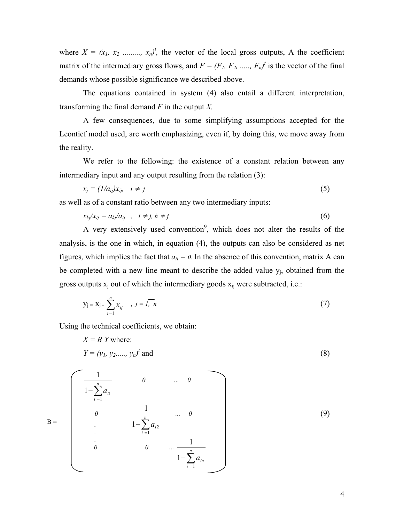where  $X = (x_1, x_2, \ldots, x_n)^t$ , the vector of the local gross outputs, A the coefficient matrix of the intermediary gross flows, and  $F = (F_1, F_2, \ldots, F_n)^t$  is the vector of the final demands whose possible significance we described above.

 The equations contained in system (4) also entail a different interpretation, transforming the final demand *F* in the output *X.* 

 A few consequences, due to some simplifying assumptions accepted for the Leontief model used, are worth emphasizing, even if, by doing this, we move away from the reality.

We refer to the following: the existence of a constant relation between any intermediary input and any output resulting from the relation (3):

$$
x_j = (1/a_{ij})x_{ij}, \quad i \neq j \tag{5}
$$

as well as of a constant ratio between any two intermediary inputs:

$$
x_{kj}/x_{ij} = a_{kj}/a_{ij} \quad , \quad i \neq j, \quad h \neq j \tag{6}
$$

A very extensively used convention<sup>9</sup>, which does not alter the results of the analysis, is the one in which, in equation (4), the outputs can also be considered as net figures, which implies the fact that  $a_{ii} = 0$ . In the absence of this convention, matrix A can be completed with a new line meant to describe the added value  $y_i$ , obtained from the gross outputs  $x_i$  out of which the intermediary goods  $x_{ij}$  were subtracted, i.e.:

$$
y_j = x_j - \sum_{i=1}^n x_{ij}, \quad j = \overline{1, n}
$$
 (7)

Using the technical coefficients, we obtain:

$$
X = B \tY \t{where: 
$$
Y = (y_1, y_2, \dots, y_n)^t \t{and}
$$
 (8)
$$

$$
B = \begin{bmatrix} \frac{1}{1 - \sum_{i=1}^{n} a_{i1}} & 0 & \dots & 0 \\ 0 & \frac{1}{1 - \sum_{i=1}^{n} a_{i2}} & \dots & 0 \\ \vdots & \vdots & \ddots & \vdots \\ 0 & 0 & \dots & \frac{1}{1 - \sum_{i=1}^{n} a_{in}} \end{bmatrix}
$$
 (9)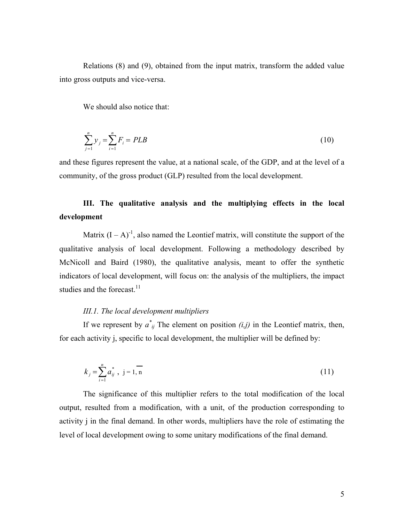Relations (8) and (9), obtained from the input matrix, transform the added value into gross outputs and vice-versa.

We should also notice that:

$$
\sum_{j=1}^{n} y_j = \sum_{i=1}^{n} F_i = PLB
$$
\n(10)

and these figures represent the value, at a national scale, of the GDP, and at the level of a community, of the gross product (GLP) resulted from the local development.

# **III. The qualitative analysis and the multiplying effects in the local development**

Matrix  $(I - A)^{-1}$ , also named the Leontief matrix, will constitute the support of the qualitative analysis of local development. Following a methodology described by McNicoll and Baird (1980), the qualitative analysis, meant to offer the synthetic indicators of local development, will focus on: the analysis of the multipliers, the impact studies and the forecast.<sup>11</sup>

# *III.1. The local development multipliers*

If we represent by  $a^*_{ij}$  The element on position  $(i,j)$  in the Leontief matrix, then, for each activity j, specific to local development, the multiplier will be defined by:

$$
k_j = \sum_{i=1}^n a_{ij}^*, \ \ j = 1, n \tag{11}
$$

 The significance of this multiplier refers to the total modification of the local output, resulted from a modification, with a unit, of the production corresponding to activity j in the final demand. In other words, multipliers have the role of estimating the level of local development owing to some unitary modifications of the final demand.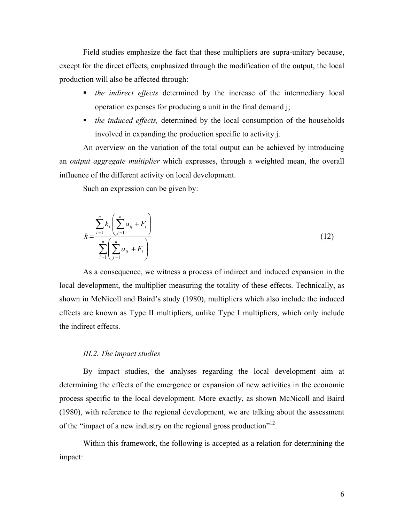Field studies emphasize the fact that these multipliers are supra-unitary because, except for the direct effects, emphasized through the modification of the output, the local production will also be affected through:

- *the indirect effects* determined by the increase of the intermediary local operation expenses for producing a unit in the final demand j;
- *the induced effects,* determined by the local consumption of the households involved in expanding the production specific to activity j.

An overview on the variation of the total output can be achieved by introducing an *output aggregate multiplier* which expresses, through a weighted mean, the overall influence of the different activity on local development.

Such an expression can be given by:

$$
k = \frac{\sum_{i=1}^{n} k_i \left( \sum_{j=1}^{n} a_{ij} + F_i \right)}{\sum_{i=1}^{n} \left( \sum_{j=1}^{n} a_{ij} + F_i \right)}
$$
(12)

As a consequence, we witness a process of indirect and induced expansion in the local development, the multiplier measuring the totality of these effects. Technically, as shown in McNicoll and Baird's study (1980), multipliers which also include the induced effects are known as Type II multipliers, unlike Type I multipliers, which only include the indirect effects.

#### *III.2. The impact studies*

 By impact studies, the analyses regarding the local development aim at determining the effects of the emergence or expansion of new activities in the economic process specific to the local development. More exactly, as shown McNicoll and Baird (1980), with reference to the regional development, we are talking about the assessment of the "impact of a new industry on the regional gross production"<sup>12</sup>.

 Within this framework, the following is accepted as a relation for determining the impact: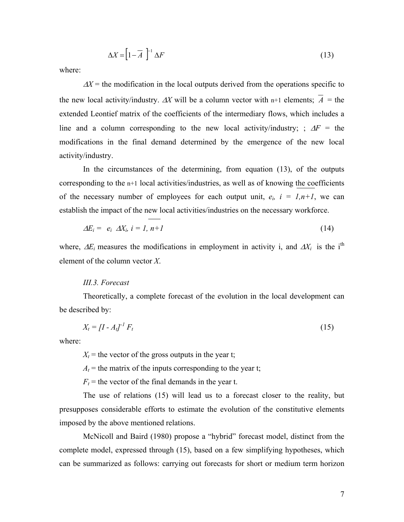$$
\Delta X = \left[1 - \overline{A}\right]^{-1} \Delta F \tag{13}
$$

where:

 $\Delta X$  = the modification in the local outputs derived from the operations specific to the new local activity/industry.  $\Delta X$  will be a column vector with n+1 elements;  $\overline{A}$  = the extended Leontief matrix of the coefficients of the intermediary flows, which includes a line and a column corresponding to the new local activity/industry; ;  $\Delta F$  = the modifications in the final demand determined by the emergence of the new local activity/industry.

 In the circumstances of the determining, from equation (13), of the outputs corresponding to the n+1 local activities/industries, as well as of knowing the coefficients of the necessary number of employees for each output unit,  $e_i$ ,  $i = 1, n+1$ , we can establish the impact of the new local activities/industries on the necessary workforce.

$$
\Delta E_i = e_i \ \Delta X_i, \ i = 1, n+1 \tag{14}
$$

where,  $\Delta E_i$  measures the modifications in employment in activity i, and  $\Delta X_i$  is the i<sup>th</sup> element of the column vector *X*.

#### *III.3. Forecast*

 Theoretically, a complete forecast of the evolution in the local development can be described by:

$$
X_t = \left[I - A_t\right]^{-1} F_t \tag{15}
$$

where:

 $X_t$  = the vector of the gross outputs in the year t;

 $A_t$  = the matrix of the inputs corresponding to the year t;

 $F_t$  = the vector of the final demands in the year t.

 The use of relations (15) will lead us to a forecast closer to the reality, but presupposes considerable efforts to estimate the evolution of the constitutive elements imposed by the above mentioned relations.

 McNicoll and Baird (1980) propose a "hybrid" forecast model, distinct from the complete model, expressed through (15), based on a few simplifying hypotheses, which can be summarized as follows: carrying out forecasts for short or medium term horizon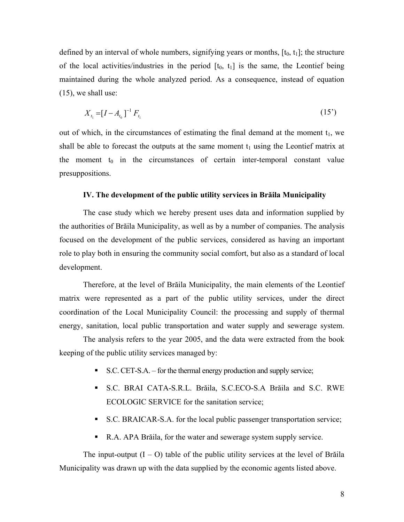defined by an interval of whole numbers, signifying years or months,  $[t_0, t_1]$ ; the structure of the local activities/industries in the period  $[t_0, t_1]$  is the same, the Leontief being maintained during the whole analyzed period. As a consequence, instead of equation (15), we shall use:

$$
X_{t_1} = [I - A_{t_0}]^{-1} F_{t_1}
$$
\n(15')

out of which, in the circumstances of estimating the final demand at the moment  $t_1$ , we shall be able to forecast the outputs at the same moment  $t_1$  using the Leontief matrix at the moment  $t_0$  in the circumstances of certain inter-temporal constant value presuppositions.

#### **IV. The development of the public utility services in Brăila Municipality**

 The case study which we hereby present uses data and information supplied by the authorities of Brăila Municipality, as well as by a number of companies. The analysis focused on the development of the public services, considered as having an important role to play both in ensuring the community social comfort, but also as a standard of local development.

 Therefore, at the level of Brăila Municipality, the main elements of the Leontief matrix were represented as a part of the public utility services, under the direct coordination of the Local Municipality Council: the processing and supply of thermal energy, sanitation, local public transportation and water supply and sewerage system.

 The analysis refers to the year 2005, and the data were extracted from the book keeping of the public utility services managed by:

- $\blacksquare$  S.C. CET-S.A. for the thermal energy production and supply service;
- S.C. BRAI CATA-S.R.L. Brăila, S.C.ECO-S.A Brăila and S.C. RWE ECOLOGIC SERVICE for the sanitation service;
- S.C. BRAICAR-S.A. for the local public passenger transportation service;
- R.A. APA Brăila, for the water and sewerage system supply service.

The input-output  $(I - O)$  table of the public utility services at the level of Brăila Municipality was drawn up with the data supplied by the economic agents listed above.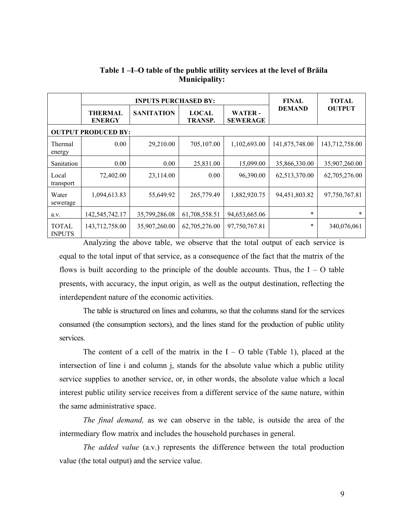|                               |                                 | <b>INPUTS PURCHASED BY:</b> | <b>FINAL</b>                   | <b>TOTAL</b>                     |                |                |  |
|-------------------------------|---------------------------------|-----------------------------|--------------------------------|----------------------------------|----------------|----------------|--|
|                               | <b>THERMAL</b><br><b>ENERGY</b> | <b>SANITATION</b>           | <b>LOCAL</b><br><b>TRANSP.</b> | <b>WATER-</b><br><b>SEWERAGE</b> | <b>DEMAND</b>  | <b>OUTPUT</b>  |  |
| <b>OUTPUT PRODUCED BY:</b>    |                                 |                             |                                |                                  |                |                |  |
| Thermal<br>energy             | 0.00                            | 29,210.00                   | 705,107.00                     | 1,102,693.00                     | 141,875,748.00 | 143,712,758.00 |  |
| Sanitation                    | 0.00                            | 0.00                        | 25,831.00                      | 15,099.00                        | 35,866,330.00  | 35,907,260.00  |  |
| Local<br>transport            | 72,402.00                       | 23,114.00                   | 0.00                           | 96,390.00                        | 62,513,370.00  | 62,705,276.00  |  |
| Water<br>sewerage             | 1,094,613.83                    | 55,649.92                   | 265,779.49                     | 1,882,920.75                     | 94,451,803.82  | 97,750,767.81  |  |
| a.v.                          | 142,545,742.17                  | 35,799,286.08               | 61,708,558.51                  | 94,653,665.06                    | $\ast$         | $\ast$         |  |
| <b>TOTAL</b><br><b>INPUTS</b> | 143,712,758.00                  | 35,907,260.00               | 62,705,276.00                  | 97,750,767.81                    | $\ast$         | 340,076,061    |  |

# **Table 1 –I–O table of the public utility services at the level of Brăila Municipality:**

Analyzing the above table, we observe that the total output of each service is equal to the total input of that service, as a consequence of the fact that the matrix of the flows is built according to the principle of the double accounts. Thus, the  $I - O$  table presents, with accuracy, the input origin, as well as the output destination, reflecting the interdependent nature of the economic activities.

The table is structured on lines and columns, so that the columns stand for the services consumed (the consumption sectors), and the lines stand for the production of public utility services.

The content of a cell of the matrix in the  $I - O$  table (Table 1), placed at the intersection of line i and column j, stands for the absolute value which a public utility service supplies to another service, or, in other words, the absolute value which a local interest public utility service receives from a different service of the same nature, within the same administrative space.

*The final demand,* as we can observe in the table, is outside the area of the intermediary flow matrix and includes the household purchases in general.

*The added value* (a.v.) represents the difference between the total production value (the total output) and the service value.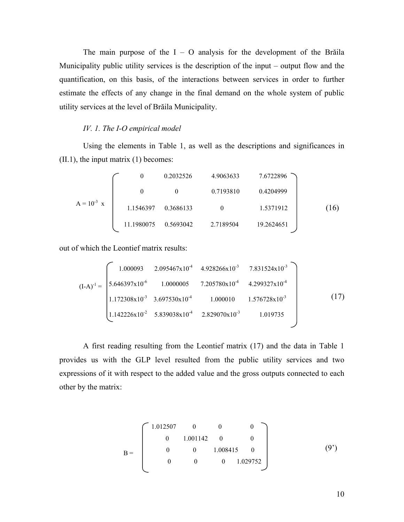The main purpose of the  $I - O$  analysis for the development of the Brăila Municipality public utility services is the description of the input – output flow and the quantification, on this basis, of the interactions between services in order to further estimate the effects of any change in the final demand on the whole system of public utility services at the level of Brăila Municipality.

#### *IV. 1. The I-O empirical model*

Using the elements in Table 1, as well as the descriptions and significances in (II.1), the input matrix (1) becomes:

$$
A = 10-3 x
$$
  
\n1.1546397 0.3686133 0 1.5371912  
\n1.1980075 0.5693042 2.7189504 19.2624651 (16)

out of which the Leontief matrix results:

$$
(I-A)^{-1} = \begin{bmatrix} 1.000093 & 2.095467 \times 10^{-4} & 4.928266 \times 10^{-3} & 7.831524 \times 10^{-3} \\ 5.646397 \times 10^{-6} & 1.0000005 & 7.205780 \times 10^{-4} & 4.299327 \times 10^{-4} \\ 1.172308 \times 10^{-3} & 3.697530 \times 10^{-4} & 1.000010 & 1.576728 \times 10^{-3} \\ 1.142226 \times 10^{-2} & 5.839038 \times 10^{-4} & 2.829070 \times 10^{-3} & 1.019735 \end{bmatrix}
$$
(17)

A first reading resulting from the Leontief matrix (17) and the data in Table 1 provides us with the GLP level resulted from the public utility services and two expressions of it with respect to the added value and the gross outputs connected to each other by the matrix:

$$
B = \begin{bmatrix} 1.012507 & 0 & 0 & 0 \\ 0 & 1.001142 & 0 & 0 \\ 0 & 0 & 1.008415 & 0 \\ 0 & 0 & 0 & 1.029752 \end{bmatrix}
$$
(9')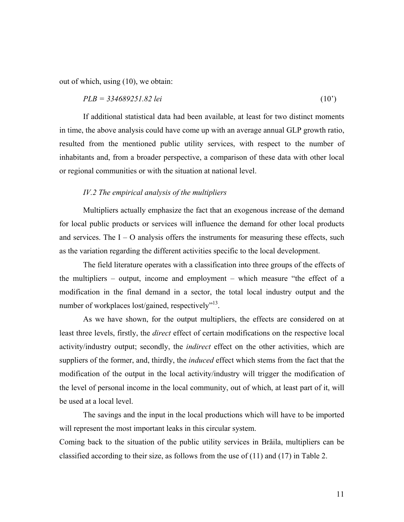out of which, using (10), we obtain:

$$
PLB = 334689251.82 \text{ lei} \tag{10'}
$$

 If additional statistical data had been available, at least for two distinct moments in time, the above analysis could have come up with an average annual GLP growth ratio, resulted from the mentioned public utility services, with respect to the number of inhabitants and, from a broader perspective, a comparison of these data with other local or regional communities or with the situation at national level.

#### *IV.2 The empirical analysis of the multipliers*

Multipliers actually emphasize the fact that an exogenous increase of the demand for local public products or services will influence the demand for other local products and services. The  $I - O$  analysis offers the instruments for measuring these effects, such as the variation regarding the different activities specific to the local development.

 The field literature operates with a classification into three groups of the effects of the multipliers – output, income and employment – which measure "the effect of a modification in the final demand in a sector, the total local industry output and the number of workplaces lost/gained, respectively"<sup>13</sup>.

 As we have shown, for the output multipliers, the effects are considered on at least three levels, firstly, the *direct* effect of certain modifications on the respective local activity/industry output; secondly, the *indirect* effect on the other activities, which are suppliers of the former, and, thirdly, the *induced* effect which stems from the fact that the modification of the output in the local activity/industry will trigger the modification of the level of personal income in the local community, out of which, at least part of it, will be used at a local level.

 The savings and the input in the local productions which will have to be imported will represent the most important leaks in this circular system.

Coming back to the situation of the public utility services in Brăila, multipliers can be classified according to their size, as follows from the use of  $(11)$  and  $(17)$  in Table 2.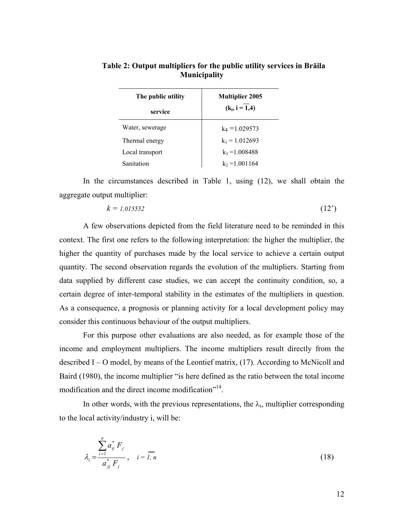| The public utility<br>service | <b>Multiplier 2005</b><br>$(k_i, i = 1,4)$ |  |
|-------------------------------|--------------------------------------------|--|
| Water, sewerage               | $k_4$ = 1.029573                           |  |
| Thermal energy                | $k_1$ = 1.012693                           |  |
| Local transport               | $k_3 = 1.008488$                           |  |
| Sanitation                    | $k_2$ = 1.001164                           |  |

# **Table 2: Output multipliers for the public utility services in Brăila Municipality**

 In the circumstances described in Table 1, using (12), we shall obtain the aggregate output multiplier:

$$
k = 1.015552\tag{12'}
$$

A few observations depicted from the field literature need to be reminded in this context. The first one refers to the following interpretation: the higher the multiplier, the higher the quantity of purchases made by the local service to achieve a certain output quantity. The second observation regards the evolution of the multipliers. Starting from data supplied by different case studies, we can accept the continuity condition, so, a certain degree of inter-temporal stability in the estimates of the multipliers in question. As a consequence, a prognosis or planning activity for a local development policy may consider this continuous behaviour of the output multipliers.

For this purpose other evaluations are also needed, as for example those of the income and employment multipliers. The income multipliers result directly from the described I – O model, by means of the Leontief matrix, (17). According to McNicoll and Baird (1980), the income multiplier "is here defined as the ratio between the total income modification and the direct income modification"<sup>14</sup>.

In other words, with the previous representations, the  $\lambda_i$ , multiplier corresponding to the local activity/industry i, will be:

$$
\lambda_i = \frac{\sum_{i=1}^n a_{ij}^* F_j}{a_{jj}^* F_j}, \quad i = \overline{I, n}
$$
\n(18)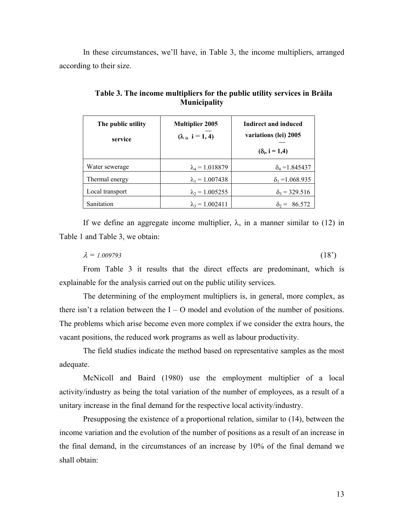In these circumstances, we'll have, in Table 3, the income multipliers, arranged according to their size.

| The public utility<br>service | <b>Multiplier 2005</b><br>$(\lambda_i, i = 1, 4)$ | Indirect and induced<br>variations (lei) 2005<br>$(\delta_i, i = 1,4)$ |
|-------------------------------|---------------------------------------------------|------------------------------------------------------------------------|
| Water sewerage                | $\lambda_4$ = 1.018879                            | $\delta_4$ = 1.845437                                                  |
| Thermal energy                | $\lambda_1 = 1.007438$                            | $\delta_1 = 1.068.935$                                                 |
| Local transport               | $\lambda_2 = 1.005255$                            | $\delta_3$ = 329.516                                                   |
| Sanitation                    | $\lambda_3 = 1.002411$                            | 86.572<br>=                                                            |

**Table 3. The income multipliers for the public utility services in Brăila Municipality** 

If we define an aggregate income multiplier,  $\lambda$ , in a manner similar to (12) in Table 1 and Table 3, we obtain:

 $\lambda = 1.009793$  (18<sup>'</sup>)

From Table 3 it results that the direct effects are predominant, which is explainable for the analysis carried out on the public utility services.

The determining of the employment multipliers is, in general, more complex, as there isn't a relation between the  $I - O$  model and evolution of the number of positions. The problems which arise become even more complex if we consider the extra hours, the vacant positions, the reduced work programs as well as labour productivity.

The field studies indicate the method based on representative samples as the most adequate.

McNicoll and Baird (1980) use the employment multiplier of a local activity/industry as being the total variation of the number of employees, as a result of a unitary increase in the final demand for the respective local activity/industry.

Presupposing the existence of a proportional relation, similar to (14), between the income variation and the evolution of the number of positions as a result of an increase in the final demand, in the circumstances of an increase by 10% of the final demand we shall obtain: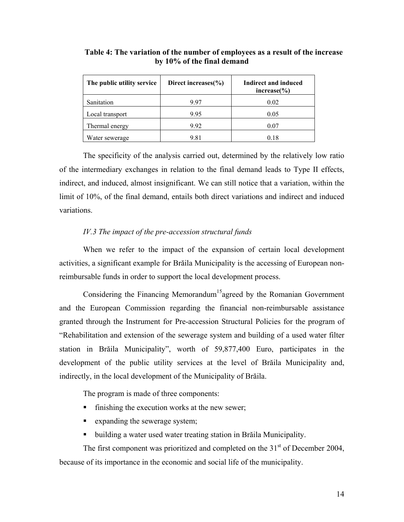| The public utility service | Direct increases $\frac{6}{6}$ | Indirect and induced<br>$increase\%)$ |
|----------------------------|--------------------------------|---------------------------------------|
| Sanitation                 | 9.97                           | 0.02                                  |
| Local transport            | 9.95                           | 0.05                                  |
| Thermal energy             | 9.92                           | 0.07                                  |
| Water sewerage             | 9.81                           | 0.18                                  |

**Table 4: The variation of the number of employees as a result of the increase by 10% of the final demand** 

The specificity of the analysis carried out, determined by the relatively low ratio of the intermediary exchanges in relation to the final demand leads to Type II effects, indirect, and induced, almost insignificant. We can still notice that a variation, within the limit of 10%, of the final demand, entails both direct variations and indirect and induced variations.

#### *IV.3 The impact of the pre-accession structural funds*

When we refer to the impact of the expansion of certain local development activities, a significant example for Brăila Municipality is the accessing of European nonreimbursable funds in order to support the local development process.

Considering the Financing Memorandum<sup>15</sup>agreed by the Romanian Government and the European Commission regarding the financial non-reimbursable assistance granted through the Instrument for Pre-accession Structural Policies for the program of "Rehabilitation and extension of the sewerage system and building of a used water filter station in Brăila Municipality", worth of 59,877,400 Euro, participates in the development of the public utility services at the level of Brăila Municipality and, indirectly, in the local development of the Municipality of Brăila.

The program is made of three components:

- $\blacksquare$  finishing the execution works at the new sewer;
- **Expanding the sewerage system;**
- building a water used water treating station in Brăila Municipality.

The first component was prioritized and completed on the  $31<sup>st</sup>$  of December 2004, because of its importance in the economic and social life of the municipality.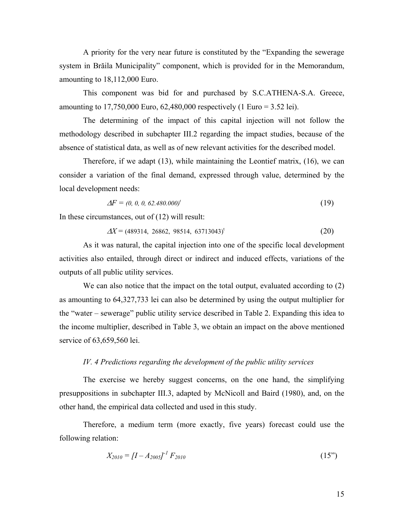A priority for the very near future is constituted by the "Expanding the sewerage system in Brăila Municipality" component, which is provided for in the Memorandum, amounting to 18,112,000 Euro.

This component was bid for and purchased by S.C.ATHENA-S.A. Greece, amounting to 17,750,000 Euro, 62,480,000 respectively (1 Euro = 3.52 lei).

The determining of the impact of this capital injection will not follow the methodology described in subchapter III.2 regarding the impact studies, because of the absence of statistical data, as well as of new relevant activities for the described model.

Therefore, if we adapt (13), while maintaining the Leontief matrix, (16), we can consider a variation of the final demand, expressed through value, determined by the local development needs:

$$
\Delta F = (0, 0, 0, 62.480.000)^t \tag{19}
$$

In these circumstances, out of (12) will result:

$$
\Delta X = (489314, 26862, 98514, 63713043)^t \tag{20}
$$

 As it was natural, the capital injection into one of the specific local development activities also entailed, through direct or indirect and induced effects, variations of the outputs of all public utility services.

We can also notice that the impact on the total output, evaluated according to  $(2)$ as amounting to 64,327,733 lei can also be determined by using the output multiplier for the "water – sewerage" public utility service described in Table 2. Expanding this idea to the income multiplier, described in Table 3, we obtain an impact on the above mentioned service of 63,659,560 lei.

#### *IV. 4 Predictions regarding the development of the public utility services*

 The exercise we hereby suggest concerns, on the one hand, the simplifying presuppositions in subchapter III.3, adapted by McNicoll and Baird (1980), and, on the other hand, the empirical data collected and used in this study.

 Therefore, a medium term (more exactly, five years) forecast could use the following relation:

$$
X_{2010} = [I - A_{2005}]^{-1} F_{2010}
$$
 (15")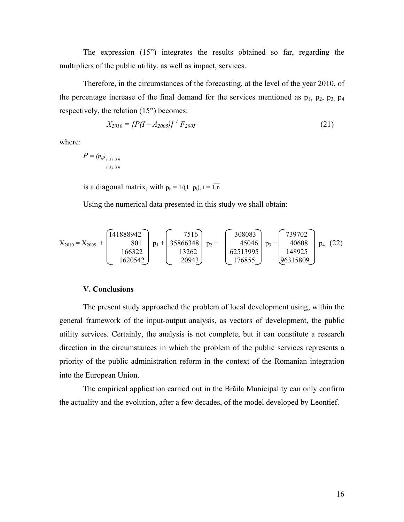The expression (15") integrates the results obtained so far, regarding the multipliers of the public utility, as well as impact, services.

Therefore, in the circumstances of the forecasting, at the level of the year 2010, of the percentage increase of the final demand for the services mentioned as  $p_1$ ,  $p_2$ ,  $p_3$ ,  $p_4$ respectively, the relation (15") becomes:

$$
X_{2010} = [P(I - A_{2005})]^{-1} F_{2005}
$$
 (21)

where:

$$
P = (p_{ij})_{1 \le i \le n}
$$
  

$$
1 \le j \le n
$$

is a diagonal matrix, with  $p_{ii} = 1/(1+p_i)$ ,  $i = \overline{1,n}$ 

Using the numerical data presented in this study we shall obtain:

$$
X_{2010} = X_{2005} + \begin{bmatrix} 141888942 \\ 801 \\ 166322 \\ 1620542 \end{bmatrix} p_1 + \begin{bmatrix} 7516 \\ 35866348 \\ 13262 \\ 20943 \end{bmatrix} p_2 + \begin{bmatrix} 308083 \\ 45046 \\ 62513995 \\ 176855 \end{bmatrix} p_3 + \begin{bmatrix} 739702 \\ 40608 \\ 148925 \\ 96315809 \end{bmatrix} p_4 \quad (22)
$$

#### **V. Conclusions**

 The present study approached the problem of local development using, within the general framework of the input-output analysis, as vectors of development, the public utility services. Certainly, the analysis is not complete, but it can constitute a research direction in the circumstances in which the problem of the public services represents a priority of the public administration reform in the context of the Romanian integration into the European Union.

 The empirical application carried out in the Brăila Municipality can only confirm the actuality and the evolution, after a few decades, of the model developed by Leontief.